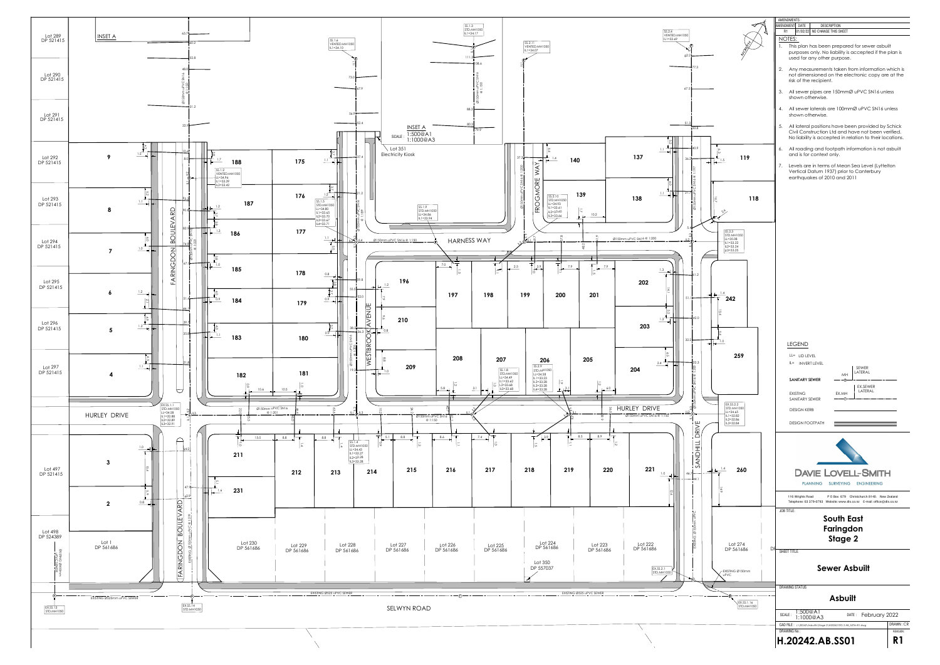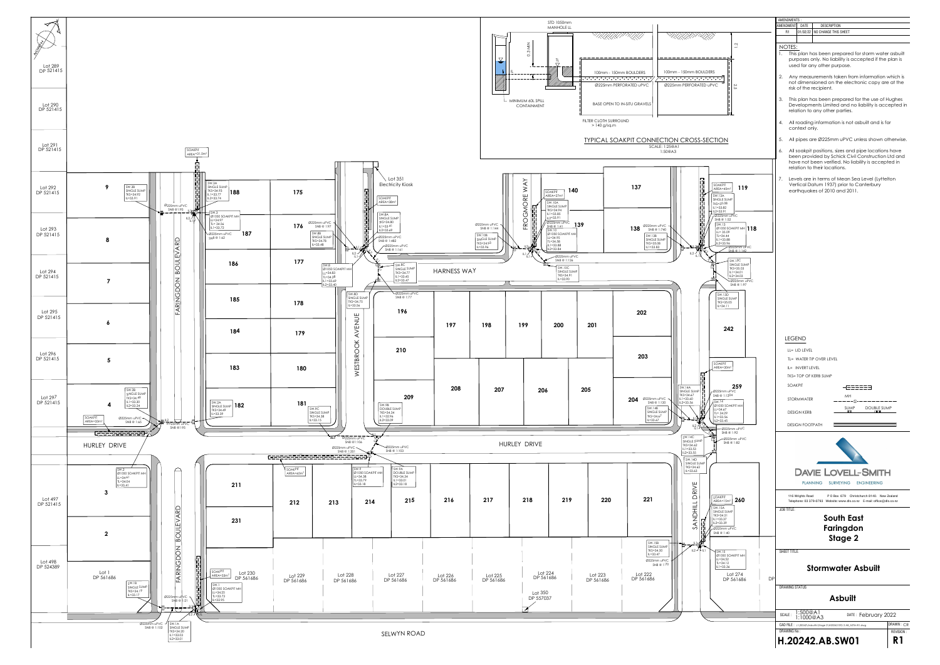